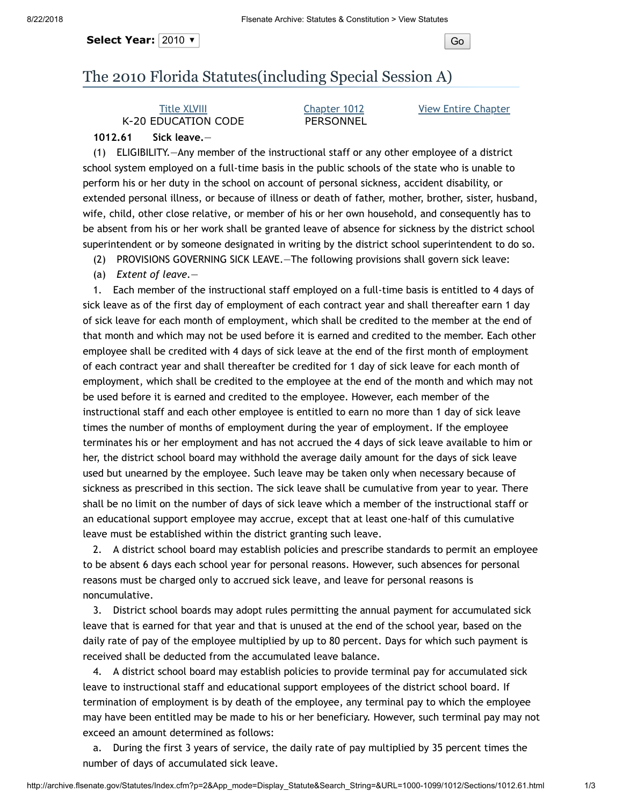Select Year: 2010  $\bullet$  |

## The 2010 Florida Statutes(including Special Session A)

## Title [XLVIII](http://archive.flsenate.gov/Statutes/index.cfm?App_mode=Display_Index&Title_Request=XLVIII#TitleXLVIII) K-20 EDUCATION CODE

## [Chapter](http://archive.flsenate.gov/Statutes/index.cfm?App_mode=Display_Statute&URL=1000-1099/1012/1012ContentsIndex.html) 1012 PERSONNEL

View Entire [Chapter](http://archive.flsenate.gov/Statutes/index.cfm?App_mode=Display_Statute&URL=1000-1099/1012/1012.html)

## **1012.61 Sick leave.**—

(1) ELIGIBILITY.—Any member of the instructional staff or any other employee of a district school system employed on a full-time basis in the public schools of the state who is unable to perform his or her duty in the school on account of personal sickness, accident disability, or extended personal illness, or because of illness or death of father, mother, brother, sister, husband, wife, child, other close relative, or member of his or her own household, and consequently has to be absent from his or her work shall be granted leave of absence for sickness by the district school superintendent or by someone designated in writing by the district school superintendent to do so.

(2) PROVISIONS GOVERNING SICK LEAVE.—The following provisions shall govern sick leave:

(a) *Extent of leave.*—

1. Each member of the instructional staff employed on a full-time basis is entitled to 4 days of sick leave as of the first day of employment of each contract year and shall thereafter earn 1 day of sick leave for each month of employment, which shall be credited to the member at the end of that month and which may not be used before it is earned and credited to the member. Each other employee shall be credited with 4 days of sick leave at the end of the first month of employment of each contract year and shall thereafter be credited for 1 day of sick leave for each month of employment, which shall be credited to the employee at the end of the month and which may not be used before it is earned and credited to the employee. However, each member of the instructional staff and each other employee is entitled to earn no more than 1 day of sick leave times the number of months of employment during the year of employment. If the employee terminates his or her employment and has not accrued the 4 days of sick leave available to him or her, the district school board may withhold the average daily amount for the days of sick leave used but unearned by the employee. Such leave may be taken only when necessary because of sickness as prescribed in this section. The sick leave shall be cumulative from year to year. There shall be no limit on the number of days of sick leave which a member of the instructional staff or an educational support employee may accrue, except that at least one-half of this cumulative leave must be established within the district granting such leave.

2. A district school board may establish policies and prescribe standards to permit an employee to be absent 6 days each school year for personal reasons. However, such absences for personal reasons must be charged only to accrued sick leave, and leave for personal reasons is noncumulative.

3. District school boards may adopt rules permitting the annual payment for accumulated sick leave that is earned for that year and that is unused at the end of the school year, based on the daily rate of pay of the employee multiplied by up to 80 percent. Days for which such payment is received shall be deducted from the accumulated leave balance.

4. A district school board may establish policies to provide terminal pay for accumulated sick leave to instructional staff and educational support employees of the district school board. If termination of employment is by death of the employee, any terminal pay to which the employee may have been entitled may be made to his or her beneficiary. However, such terminal pay may not exceed an amount determined as follows:

a. During the first 3 years of service, the daily rate of pay multiplied by 35 percent times the number of days of accumulated sick leave.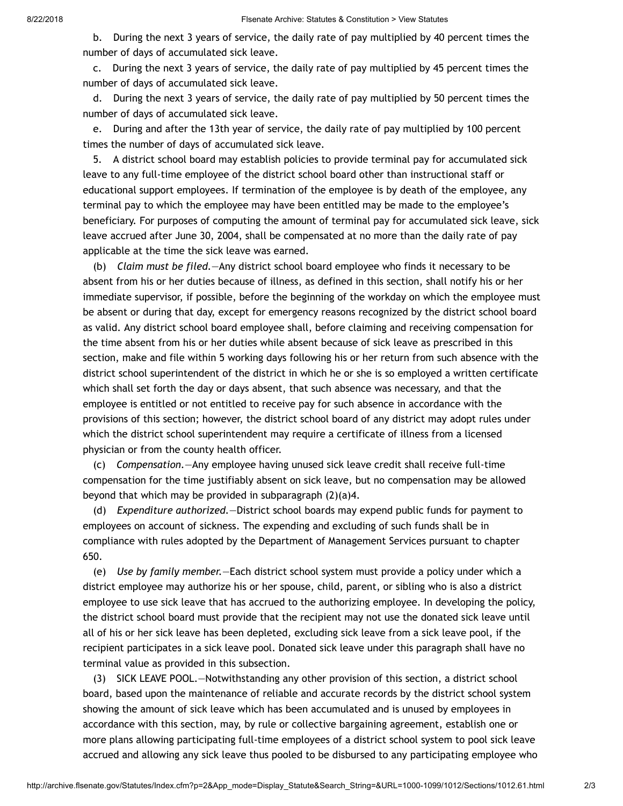b. During the next 3 years of service, the daily rate of pay multiplied by 40 percent times the number of days of accumulated sick leave.

c. During the next 3 years of service, the daily rate of pay multiplied by 45 percent times the number of days of accumulated sick leave.

d. During the next 3 years of service, the daily rate of pay multiplied by 50 percent times the number of days of accumulated sick leave.

e. During and after the 13th year of service, the daily rate of pay multiplied by 100 percent times the number of days of accumulated sick leave.

5. A district school board may establish policies to provide terminal pay for accumulated sick leave to any full-time employee of the district school board other than instructional staff or educational support employees. If termination of the employee is by death of the employee, any terminal pay to which the employee may have been entitled may be made to the employee's beneficiary. For purposes of computing the amount of terminal pay for accumulated sick leave, sick leave accrued after June 30, 2004, shall be compensated at no more than the daily rate of pay applicable at the time the sick leave was earned.

(b) *Claim must be filed.*—Any district school board employee who finds it necessary to be absent from his or her duties because of illness, as defined in this section, shall notify his or her immediate supervisor, if possible, before the beginning of the workday on which the employee must be absent or during that day, except for emergency reasons recognized by the district school board as valid. Any district school board employee shall, before claiming and receiving compensation for the time absent from his or her duties while absent because of sick leave as prescribed in this section, make and file within 5 working days following his or her return from such absence with the district school superintendent of the district in which he or she is so employed a written certificate which shall set forth the day or days absent, that such absence was necessary, and that the employee is entitled or not entitled to receive pay for such absence in accordance with the provisions of this section; however, the district school board of any district may adopt rules under which the district school superintendent may require a certificate of illness from a licensed physician or from the county health officer.

(c) *Compensation.*—Any employee having unused sick leave credit shall receive full-time compensation for the time justifiably absent on sick leave, but no compensation may be allowed beyond that which may be provided in subparagraph (2)(a)4.

(d) *Expenditure authorized.*—District school boards may expend public funds for payment to employees on account of sickness. The expending and excluding of such funds shall be in compliance with rules adopted by the Department of Management Services pursuant to chapter 650.

(e) *Use by family member.*—Each district school system must provide a policy under which a district employee may authorize his or her spouse, child, parent, or sibling who is also a district employee to use sick leave that has accrued to the authorizing employee. In developing the policy, the district school board must provide that the recipient may not use the donated sick leave until all of his or her sick leave has been depleted, excluding sick leave from a sick leave pool, if the recipient participates in a sick leave pool. Donated sick leave under this paragraph shall have no terminal value as provided in this subsection.

(3) SICK LEAVE POOL.—Notwithstanding any other provision of this section, a district school board, based upon the maintenance of reliable and accurate records by the district school system showing the amount of sick leave which has been accumulated and is unused by employees in accordance with this section, may, by rule or collective bargaining agreement, establish one or more plans allowing participating full-time employees of a district school system to pool sick leave accrued and allowing any sick leave thus pooled to be disbursed to any participating employee who